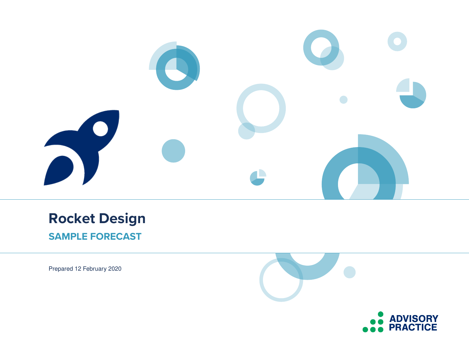

## **Rocket Design SAMPLE FORECAST**

Prepared 12 February 2020

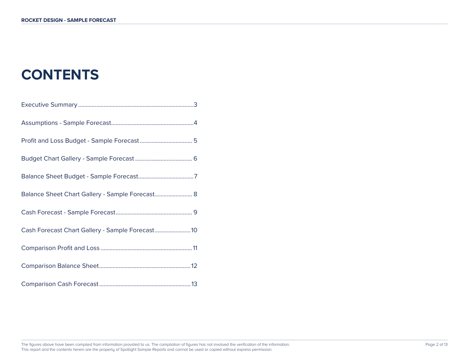# **CONTENTS**

| Balance Sheet Chart Gallery - Sample Forecast 8  |
|--------------------------------------------------|
|                                                  |
| Cash Forecast Chart Gallery - Sample Forecast 10 |
|                                                  |
|                                                  |
|                                                  |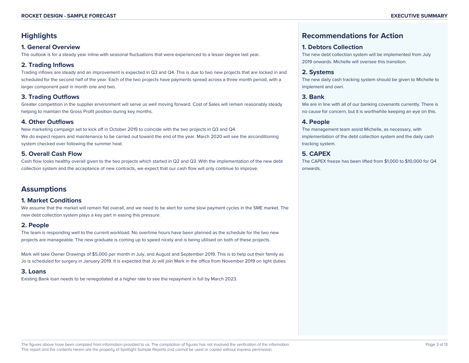## **Highlights**

#### **1. General Overview**

The outlook is for a steady year inline with seasonal fluctuations that were experienced to a lesser degree last year.

#### **2. Trading Inflows**

Trading inflows are steady and an improvement is expected in Q3 and Q4. This is due to two new projects that are locked in and scheduled for the second half of the year. Each of the two projects have payments spread across a three month period, with a larger component paid in month one and two.

#### **3. Trading Outflows**

Greater competition in the supplier environment will serve us well moving forward. Cost of Sales will remain reasonably steady helping to maintain the Gross Profit position during key months.

#### **4. Other Outflows**

New marketing campaign set to kick off in October 2019 to coincide with the two projects in Q3 and Q4. We do expect repairs and maintenance to be carried out toward the end of the year. March 2020 will see the airconditioning system checked over following the summer heat.

#### **5. Overall Cash Flow**

Cash flow looks healthy overall given to the two projects which started in Q2 and Q3. With the implementation of the new debt collection system and the acceptance of new contracts, we expect that our cash flow will only continue to improve.

## **Assumptions**

#### **1. Market Conditions**

We assume that the market will remain flat overall, and we need to be alert for some slow payment cycles in the SME market. The new debt collection system plays a key part in easing this pressure.

#### **2. People**

The team is responding well to the current workload. No overtime hours have been planned as the schedule for the two new projects are manageable. The new graduate is coming up to speed nicely and is being utilised on both of these projects.

Mark will take Owner Drawings of \$5,000 per month in July, and August and September 2019. This is to help out their family as Jo is scheduled for surgery in January 2019. It is expected that Jo will join Mark in the office from November 2019 on light duties.

#### **3. Loans**

Existing Bank loan needs to be renegotiated at a higher rate to see the repayment in full by March 2023.

## **Recommendations for Action**

#### **1. Debtors Collection**

The new debt collection system will be implemented from July 2019 onwards. Michelle will oversee this transition.

#### **2. Systems**

The new daily cash tracking system should be given to Michelle to implement and own.

#### **3. Bank**

We are in line with all of our banking covenants currently. There is no cause for concern, but it is worthwhile keeping an eye on this.

#### **4. People**

The management team assist Michelle, as necessary, with implementation of the debt collection system and the daily cash tracking system.

#### **5. CAPEX**

The CAPEX freeze has been lifted from \$1,000 to \$10,000 for Q4 onwards.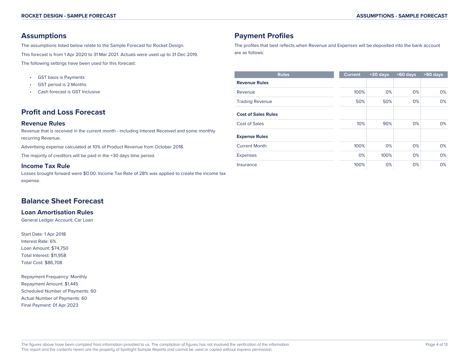### **Assumptions**

The assumptions listed below relate to the Sample Forecast for Rocket Design. This forecast is from 1 Apr 2020 to 31 Mar 2021. Actuals were used up to 31 Dec 2019. The following settings have been used for this forecast:

- GST basis is Payments
- GST period is 2 Months
- Cash forecast is GST Inclusive

## **Profit and Loss Forecast**

#### **Revenue Rules**

Revenue that is received in the current month - including Interest Received and some monthly recurring Revenue.

Advertising expense calculated at 10% of Product Revenue from October 2018.

The majority of creditors will be paid in the +30 days time period.

#### **Income Tax Rule**

Losses brought forward were \$0.00. Income Tax Rate of 28% was applied to create the income tax expense.

## **Balance Sheet Forecast**

#### **Loan Amortisation Rules**

General Ledger Account: Car Loan

Start Date: 1 Apr 2018 Interest Rate: 6% Loan Amount: \$74,750 Total Interest: \$11,958 Total Cost: \$86,708

Repayment Frequency: Monthly Repayment Amount: \$1,445 Scheduled Number of Payments: 60 Actual Number of Payments: 60 Final Payment: 01 Apr 2023

## **Payment Profiles**

The profiles that best reflects when Revenue and Expenses will be deposited into the bank account are as follows:

| <b>Rules</b>               | <b>Current</b> | $+30$ days | $+60$ days | $+90$ days |
|----------------------------|----------------|------------|------------|------------|
| <b>Revenue Rules</b>       |                |            |            |            |
| Revenue                    | 100%           | 0%         | 0%         | 0%         |
| <b>Trading Revenue</b>     | 50%            | 50%        | 0%         | 0%         |
| <b>Cost of Sales Rules</b> |                |            |            |            |
| Cost of Sales              | 10%            | 90%        | 0%         | 0%         |
| <b>Expense Rules</b>       |                |            |            |            |
| <b>Current Month</b>       | 100%           | 0%         | 0%         | 0%         |
| <b>Expenses</b>            | 0%             | 100%       | 0%         | 0%         |
| Insurance                  | 100%           | 0%         | 0%         | 0%         |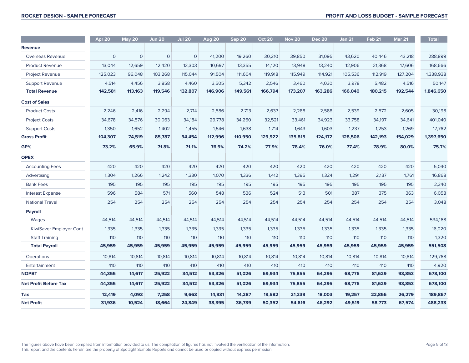|                              | Apr 20       | <b>May 20</b> | <b>Jun 20</b> | <b>Jul 20</b> | <b>Aug 20</b> | Sep 20  | <b>Oct 20</b> | <b>Nov 20</b> | <b>Dec 20</b> | <b>Jan 21</b> | <b>Feb 21</b> | <b>Mar 21</b> | <b>Total</b> |
|------------------------------|--------------|---------------|---------------|---------------|---------------|---------|---------------|---------------|---------------|---------------|---------------|---------------|--------------|
| Revenue                      |              |               |               |               |               |         |               |               |               |               |               |               |              |
| Overseas Revenue             | $\mathbf{O}$ | $\mathbf 0$   | $\mathbf{O}$  | $\mathbf 0$   | 41,200        | 19,260  | 30,210        | 39,850        | 31,095        | 43,620        | 40,446        | 43,218        | 288,899      |
| <b>Product Revenue</b>       | 13,044       | 12,659        | 12,420        | 13,303        | 10,697        | 13,355  | 14,120        | 13,948        | 13,240        | 12,906        | 21,368        | 17,606        | 168,666      |
| Project Revenue              | 125,023      | 96,048        | 103,268       | 115,044       | 91,504        | 111,604 | 119,918       | 115,949       | 114,921       | 105,536       | 112,919       | 127,204       | 1,338,938    |
| Support Revenue              | 4,514        | 4,456         | 3,858         | 4,460         | 3,505         | 5,342   | 2,546         | 3,460         | 4,030         | 3,978         | 5,482         | 4,516         | 50,147       |
| <b>Total Revenue</b>         | 142,581      | 113,163       | 119,546       | 132,807       | 146,906       | 149,561 | 166,794       | 173,207       | 163,286       | 166,040       | 180,215       | 192,544       | 1,846,650    |
| <b>Cost of Sales</b>         |              |               |               |               |               |         |               |               |               |               |               |               |              |
| <b>Product Costs</b>         | 2,246        | 2,416         | 2,294         | 2,714         | 2,586         | 2,713   | 2,637         | 2,288         | 2,588         | 2,539         | 2,572         | 2,605         | 30,198       |
| <b>Project Costs</b>         | 34,678       | 34,576        | 30,063        | 34,184        | 29,778        | 34,260  | 32,521        | 33,461        | 34,923        | 33,758        | 34,197        | 34,641        | 401,040      |
| <b>Support Costs</b>         | 1,350        | 1,652         | 1,402         | 1,455         | 1,546         | 1,638   | 1,714         | 1,643         | 1,603         | 1,237         | 1,253         | 1,269         | 17,762       |
| <b>Gross Profit</b>          | 104,307      | 74,519        | 85,787        | 94,454        | 112,996       | 110,950 | 129,922       | 135,815       | 124,172       | 128,506       | 142,193       | 154,029       | 1,397,650    |
| GP%                          | 73.2%        | 65.9%         | 71.8%         | 71.1%         | 76.9%         | 74.2%   | 77.9%         | 78.4%         | 76.0%         | 77.4%         | 78.9%         | 80.0%         | 75.7%        |
| <b>OPEX</b>                  |              |               |               |               |               |         |               |               |               |               |               |               |              |
| <b>Accounting Fees</b>       | 420          | 420           | 420           | 420           | 420           | 420     | 420           | 420           | 420           | 420           | 420           | 420           | 5,040        |
| Advertising                  | 1,304        | 1,266         | 1,242         | 1,330         | 1,070         | 1,336   | 1,412         | 1,395         | 1,324         | 1,291         | 2,137         | 1,761         | 16,868       |
| <b>Bank Fees</b>             | 195          | 195           | 195           | 195           | 195           | 195     | 195           | 195           | 195           | 195           | 195           | 195           | 2,340        |
| <b>Interest Expense</b>      | 596          | 584           | 571           | 560           | 548           | 536     | 524           | 513           | 501           | 387           | 375           | 363           | 6,058        |
| <b>National Travel</b>       | 254          | 254           | 254           | 254           | 254           | 254     | 254           | 254           | 254           | 254           | 254           | 254           | 3,048        |
| <b>Payroll</b>               |              |               |               |               |               |         |               |               |               |               |               |               |              |
| Wages                        | 44,514       | 44,514        | 44,514        | 44,514        | 44,514        | 44,514  | 44,514        | 44,514        | 44,514        | 44,514        | 44,514        | 44,514        | 534,168      |
| KiwiSaver Employer Cont      | 1,335        | 1,335         | 1,335         | 1,335         | 1,335         | 1,335   | 1,335         | 1,335         | 1,335         | 1,335         | 1,335         | 1,335         | 16,020       |
| <b>Staff Training</b>        | 110          | 110           | 110           | 110           | 110           | 110     | 110           | 110           | 110           | 110           | 110           | 110           | 1,320        |
| <b>Total Payroll</b>         | 45,959       | 45,959        | 45,959        | 45,959        | 45,959        | 45,959  | 45,959        | 45,959        | 45,959        | 45,959        | 45,959        | 45,959        | 551,508      |
| Operations                   | 10,814       | 10,814        | 10,814        | 10,814        | 10,814        | 10,814  | 10,814        | 10,814        | 10,814        | 10,814        | 10,814        | 10,814        | 129,768      |
| Entertainment                | 410          | 410           | 410           | 410           | 410           | 410     | 410           | 410           | 410           | 410           | 410           | 410           | 4,920        |
| <b>NOPBT</b>                 | 44,355       | 14,617        | 25,922        | 34,512        | 53,326        | 51,026  | 69,934        | 75,855        | 64,295        | 68,776        | 81,629        | 93,853        | 678,100      |
| <b>Net Profit Before Tax</b> | 44,355       | 14,617        | 25,922        | 34,512        | 53,326        | 51,026  | 69,934        | 75,855        | 64,295        | 68,776        | 81,629        | 93,853        | 678,100      |
| <b>Tax</b>                   | 12,419       | 4,093         | 7,258         | 9,663         | 14,931        | 14,287  | 19,582        | 21,239        | 18,003        | 19,257        | 22,856        | 26,279        | 189,867      |
| <b>Net Profit</b>            | 31,936       | 10,524        | 18,664        | 24,849        | 38,395        | 36,739  | 50,352        | 54,616        | 46,292        | 49,519        | 58,773        | 67,574        | 488,233      |

The figures above have been compiled from information provided to us. The compilation of figures has not involved the verification of the information. This report and the contents herein are the property of Spotlight Sample Reports and cannot be used or copied without express permission.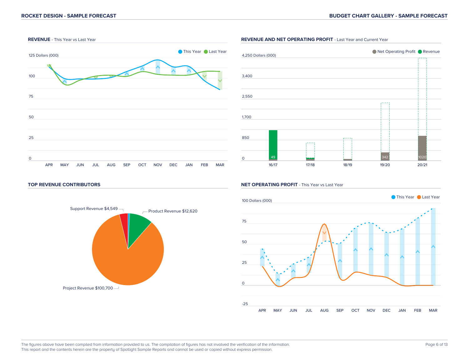

## ● Net Operating Profit ● Revenue 4,250 Dollars (000) 3,400 2,550 1,700 850 . . . . . 49 71 68 342 1020 0 16/17 17/18 18/19 19/20 20/21

#### **TOP REVENUE CONTRIBUTORS**



#### **NET OPERATING PROFIT** - This Year vs Last Year



#### **REVENUE AND NET OPERATING PROFIT** - Last Year and Current Year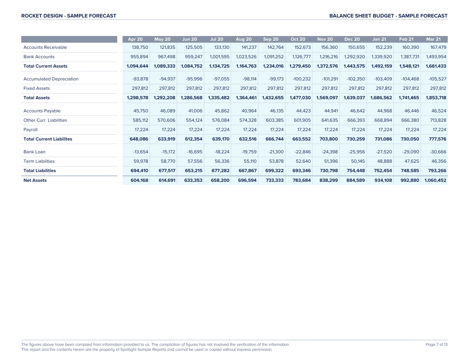|                                 | Apr 20    | <b>May 20</b> | <b>Jun 20</b> | <b>Jul 20</b> | Aug 20    | Sep 20    | <b>Oct 20</b> | <b>Nov 20</b> | <b>Dec 20</b> | <b>Jan 21</b> | <b>Feb 21</b> | <b>Mar 21</b> |
|---------------------------------|-----------|---------------|---------------|---------------|-----------|-----------|---------------|---------------|---------------|---------------|---------------|---------------|
| <b>Accounts Receivable</b>      | 138,750   | 121,835       | 125,505       | 133,130       | 141,237   | 142,764   | 152,673       | 156,360       | 150,655       | 152,239       | 160,390       | 167,479       |
| <b>Bank Accounts</b>            | 955,894   | 967,498       | 959,247       | 1,001,595     | 1,023,526 | 1,091,252 | 1,126,777     | 1,216,216     | 1,292,920     | 1,339,920     | 1,387,731     | 1,493,954     |
| <b>Total Current Assets</b>     | 1,094,644 | 1,089,333     | 1,084,752     | 1,134,725     | 1,164,763 | 1,234,016 | 1,279,450     | 1,372,576     | 1,443,575     | 1,492,159     | 1,548,121     | 1,661,433     |
| <b>Accumulated Depreciation</b> | $-93,878$ | $-94,937$     | $-95,996$     | $-97,055$     | $-98,114$ | $-99,173$ | $-100,232$    | $-101,291$    | $-102,350$    | $-103,409$    | $-104,468$    | $-105,527$    |
| <b>Fixed Assets</b>             | 297,812   | 297,812       | 297,812       | 297,812       | 297,812   | 297,812   | 297,812       | 297,812       | 297,812       | 297,812       | 297,812       | 297,812       |
| <b>Total Assets</b>             | 1,298,578 | 1,292,208     | 1,286,568     | 1,335,482     | 1,364,461 | 1,432,655 | 1,477,030     | 1,569,097     | 1,639,037     | 1,686,562     | 1,741,465     | 1,853,718     |
| <b>Accounts Payable</b>         | 45,750    | 46,089        | 41,006        | 45,862        | 40,964    | 46,135    | 44,423        | 44,941        | 46,642        | 44,968        | 46,446        | 46,524        |
| <b>Other Curr. Liabilities</b>  | 585,112   | 570,606       | 554,124       | 576,084       | 574,328   | 603,385   | 601,905       | 641,635       | 666,393       | 668,894       | 666,380       | 713,828       |
| Payroll                         | 17,224    | 17,224        | 17,224        | 17,224        | 17,224    | 17,224    | 17,224        | 17,224        | 17,224        | 17,224        | 17,224        | 17,224        |
| <b>Total Current Liabilites</b> | 648,086   | 633,919       | 612,354       | 639,170       | 632,516   | 666,744   | 663,552       | 703,800       | 730,259       | 731,086       | 730,050       | 777,576       |
| Bank Loan                       | $-13,654$ | $-15,172$     | $-16,695$     | $-18,224$     | $-19,759$ | $-21,300$ | $-22,846$     | $-24,398$     | $-25,956$     | $-27,520$     | $-29,090$     | $-30,666$     |
| <b>Term Liabilities</b>         | 59,978    | 58,770        | 57,556        | 56,336        | 55,110    | 53,878    | 52,640        | 51,396        | 50,145        | 48,888        | 47,625        | 46,356        |
| <b>Total Liabilities</b>        | 694,410   | 677,517       | 653,215       | 677,282       | 667,867   | 699,322   | 693,346       | 730,798       | 754,448       | 752,454       | 748,585       | 793,266       |
| <b>Net Assets</b>               | 604,168   | 614,691       | 633,353       | 658,200       | 696,594   | 733,333   | 783,684       | 838,299       | 884,589       | 934,108       | 992,880       | 1,060,452     |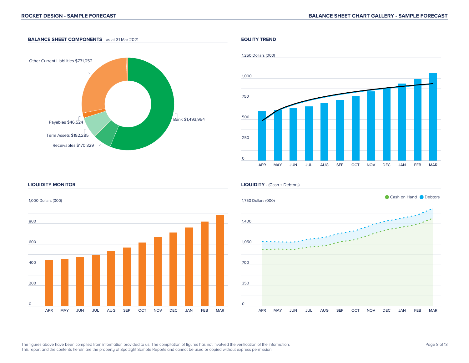#### **BALANCE SHEET COMPONENTS** - as at 31 Mar 2021



#### **EQUITY TREND**



#### **LIQUIDITY MONITOR**

1,000 Dollars (000) 800



#### **LIQUIDITY** - (Cash + Debtors)



#### The figures above have been compiled from information provided to us. The compilation of figures has not involved the verification of the information. This report and the contents herein are the property of Spotlight Sample Reports and cannot be used or copied without express permission.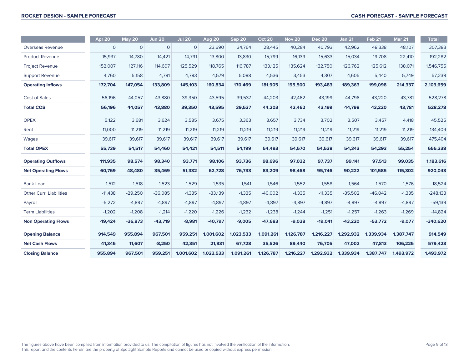|                                | Apr 20      | <b>May 20</b> | <b>Jun 20</b> | <b>Jul 20</b> | <b>Aug 20</b> | Sep 20    | <b>Oct 20</b> | <b>Nov 20</b> | <b>Dec 20</b> | <b>Jan 21</b> | Feb <sub>21</sub> | <b>Mar 21</b> | <b>Total</b> |
|--------------------------------|-------------|---------------|---------------|---------------|---------------|-----------|---------------|---------------|---------------|---------------|-------------------|---------------|--------------|
| Overseas Revenue               | $\mathbf 0$ | $\mathbf{O}$  | $\mathbf{0}$  | $\mathbf{0}$  | 23,690        | 34,764    | 28,445        | 40,284        | 40,793        | 42,962        | 48,338            | 48,107        | 307,383      |
| <b>Product Revenue</b>         | 15,937      | 14,780        | 14,421        | 14,791        | 13,800        | 13,830    | 15,799        | 16,139        | 15,633        | 15,034        | 19,708            | 22,410        | 192,282      |
| <b>Project Revenue</b>         | 152,007     | 127,116       | 114,607       | 125,529       | 118,765       | 116,787   | 133,125       | 135,624       | 132,750       | 126,762       | 125,612           | 138,071       | 1,546,755    |
| <b>Support Revenue</b>         | 4,760       | 5,158         | 4,781         | 4,783         | 4,579         | 5,088     | 4,536         | 3,453         | 4,307         | 4,605         | 5,440             | 5,749         | 57,239       |
| <b>Operating Inflows</b>       | 172,704     | 147,054       | 133,809       | 145,103       | 160,834       | 170,469   | 181,905       | 195,500       | 193,483       | 189,363       | 199,098           | 214,337       | 2,103,659    |
| <b>Cost of Sales</b>           | 56,196      | 44,057        | 43,880        | 39,350        | 43,595        | 39,537    | 44,203        | 42,462        | 43,199        | 44,798        | 43,220            | 43,781        | 528,278      |
| <b>Total COS</b>               | 56,196      | 44,057        | 43,880        | 39,350        | 43,595        | 39,537    | 44,203        | 42,462        | 43,199        | 44,798        | 43,220            | 43,781        | 528,278      |
| <b>OPEX</b>                    | 5,122       | 3,681         | 3,624         | 3,585         | 3,675         | 3,363     | 3,657         | 3,734         | 3,702         | 3,507         | 3,457             | 4,418         | 45,525       |
| Rent                           | 11,000      | 11,219        | 11,219        | 11,219        | 11,219        | 11,219    | 11,219        | 11,219        | 11,219        | 11,219        | 11,219            | 11,219        | 134,409      |
| Wages                          | 39,617      | 39,617        | 39,617        | 39,617        | 39,617        | 39,617    | 39,617        | 39,617        | 39,617        | 39,617        | 39,617            | 39,617        | 475,404      |
| <b>Total OPEX</b>              | 55,739      | 54,517        | 54,460        | 54,421        | 54,511        | 54,199    | 54,493        | 54,570        | 54,538        | 54,343        | 54,293            | 55,254        | 655,338      |
| <b>Operating Outflows</b>      | 111,935     | 98,574        | 98,340        | 93,771        | 98,106        | 93,736    | 98,696        | 97,032        | 97,737        | 99,141        | 97,513            | 99,035        | 1,183,616    |
| <b>Net Operating Flows</b>     | 60,769      | 48,480        | 35,469        | 51,332        | 62,728        | 76,733    | 83,209        | 98,468        | 95,746        | 90,222        | 101,585           | 115,302       | 920,043      |
| Bank Loan                      | $-1,512$    | $-1,518$      | $-1,523$      | $-1,529$      | $-1,535$      | $-1,541$  | $-1,546$      | $-1,552$      | $-1,558$      | $-1,564$      | $-1,570$          | $-1,576$      | $-18,524$    |
| <b>Other Curr. Liabilities</b> | $-11,438$   | $-29,250$     | $-36,085$     | $-1,335$      | $-33,139$     | $-1,335$  | $-40,002$     | $-1,335$      | $-11,335$     | $-35,502$     | $-46,042$         | $-1,335$      | $-248,133$   |
| Payroll                        | $-5,272$    | $-4,897$      | $-4,897$      | $-4,897$      | $-4,897$      | $-4,897$  | $-4,897$      | $-4,897$      | $-4,897$      | $-4,897$      | $-4,897$          | $-4,897$      | $-59,139$    |
| <b>Term Liabilities</b>        | $-1,202$    | $-1,208$      | $-1,214$      | $-1,220$      | $-1,226$      | $-1,232$  | $-1,238$      | $-1,244$      | $-1,251$      | $-1,257$      | $-1,263$          | $-1,269$      | $-14,824$    |
| <b>Non Operating Flows</b>     | $-19,424$   | $-36,873$     | $-43,719$     | $-8,981$      | $-40,797$     | $-9,005$  | $-47,683$     | $-9,028$      | $-19,041$     | $-43,220$     | $-53,772$         | $-9,077$      | $-340,620$   |
| <b>Opening Balance</b>         | 914,549     | 955,894       | 967,501       | 959,251       | 1,001,602     | 1,023,533 | 1,091,261     | 1,126,787     | 1,216,227     | 1,292,932     | 1,339,934         | 1,387,747     | 914,549      |
| <b>Net Cash Flows</b>          | 41,345      | 11,607        | $-8,250$      | 42,351        | 21,931        | 67,728    | 35,526        | 89,440        | 76,705        | 47,002        | 47,813            | 106,225       | 579,423      |
| <b>Closing Balance</b>         | 955,894     | 967,501       | 959,251       | 1,001,602     | 1,023,533     | 1,091,261 | 1,126,787     | 1,216,227     | 1,292,932     | 1,339,934     | 1,387,747         | 1,493,972     | 1,493,972    |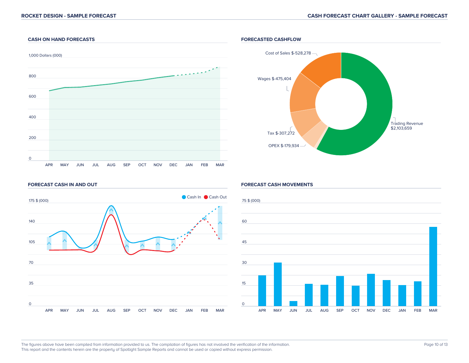#### **CASH ON HAND FORECASTS**



#### **FORECASTED CASHFLOW**



#### **FORECAST CASH IN AND OUT**



#### **FORECAST CASH MOVEMENTS**



The figures above have been compiled from information provided to us. The compilation of figures has not involved the verification of the information. This report and the contents herein are the property of Spotlight Sample Reports and cannot be used or copied without express permission.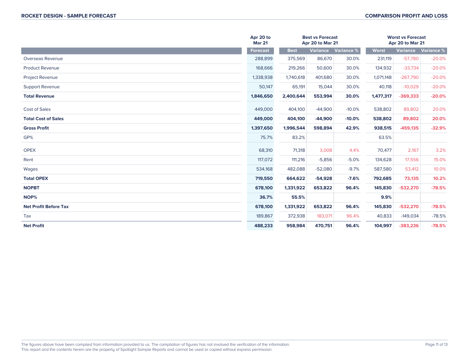|                              | Apr 20 to<br><b>Best vs Forecast</b><br><b>Mar 21</b><br>Apr 20 to Mar 21 |             |           |            | <b>Worst vs Forecast</b><br>Apr 20 to Mar 21 |            |            |
|------------------------------|---------------------------------------------------------------------------|-------------|-----------|------------|----------------------------------------------|------------|------------|
|                              | <b>Forecast</b>                                                           | <b>Best</b> | Variance  | Variance % | <b>Worst</b>                                 | Variance   | Variance % |
| Overseas Revenue             | 288,899                                                                   | 375,569     | 86,670    | 30.0%      | 231,119                                      | $-57,780$  | $-20.0%$   |
| <b>Product Revenue</b>       | 168,666                                                                   | 219,266     | 50,600    | 30.0%      | 134,932                                      | $-33,734$  | $-20.0%$   |
| <b>Project Revenue</b>       | 1,338,938                                                                 | 1,740,618   | 401,680   | 30.0%      | 1,071,148                                    | $-267,790$ | $-20.0%$   |
| Support Revenue              | 50,147                                                                    | 65,191      | 15,044    | 30.0%      | 40,118                                       | $-10,029$  | $-20.0%$   |
| <b>Total Revenue</b>         | 1,846,650                                                                 | 2,400,644   | 553,994   | 30.0%      | 1,477,317                                    | $-369,333$ | $-20.0%$   |
| <b>Cost of Sales</b>         | 449,000                                                                   | 404,100     | $-44,900$ | $-10.0%$   | 538,802                                      | 89,802     | 20.0%      |
| <b>Total Cost of Sales</b>   | 449,000                                                                   | 404,100     | $-44,900$ | $-10.0%$   | 538,802                                      | 89,802     | 20.0%      |
| <b>Gross Profit</b>          | 1,397,650                                                                 | 1,996,544   | 598,894   | 42.9%      | 938,515                                      | $-459,135$ | $-32.9%$   |
| GP%                          | 75.7%                                                                     | 83.2%       |           |            | 63.5%                                        |            |            |
| <b>OPEX</b>                  | 68,310                                                                    | 71,318      | 3,008     | 4.4%       | 70,477                                       | 2,167      | 3.2%       |
| Rent                         | 117,072                                                                   | 111,216     | $-5,856$  | $-5.0%$    | 134,628                                      | 17,556     | 15.0%      |
| Wages                        | 534,168                                                                   | 482,088     | $-52,080$ | $-9.7%$    | 587,580                                      | 53,412     | 10.0%      |
| <b>Total OPEX</b>            | 719,550                                                                   | 664,622     | $-54,928$ | $-7.6%$    | 792,685                                      | 73,135     | 10.2%      |
| <b>NOPBT</b>                 | 678,100                                                                   | 1,331,922   | 653,822   | 96.4%      | 145,830                                      | $-532,270$ | $-78.5%$   |
| NOP%                         | 36.7%                                                                     | 55.5%       |           |            | 9.9%                                         |            |            |
| <b>Net Profit Before Tax</b> | 678,100                                                                   | 1,331,922   | 653,822   | 96.4%      | 145,830                                      | $-532,270$ | $-78.5%$   |
| Tax                          | 189,867                                                                   | 372,938     | 183,071   | 96.4%      | 40,833                                       | $-149,034$ | $-78.5%$   |
| <b>Net Profit</b>            | 488,233                                                                   | 958,984     | 470,751   | 96.4%      | 104,997                                      | $-383,236$ | $-78.5%$   |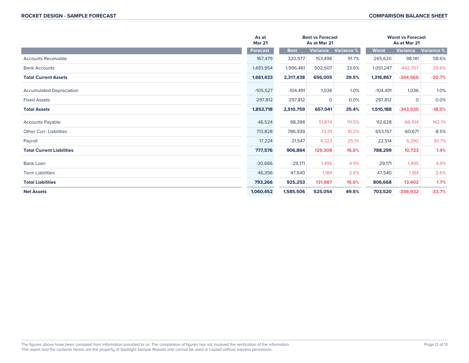|                                  | As at<br><b>Mar 21</b> |             | <b>Best vs Forecast</b><br>As at Mar 21 |                   | <b>Worst vs Forecast</b><br>As at Mar 21 |                 |                   |
|----------------------------------|------------------------|-------------|-----------------------------------------|-------------------|------------------------------------------|-----------------|-------------------|
|                                  | Forecast               | <b>Best</b> | <b>Variance</b>                         | <b>Variance %</b> | <b>Worst</b>                             | <b>Variance</b> | <b>Variance %</b> |
| <b>Accounts Receivable</b>       | 167,479                | 320,977     | 153,498                                 | 91.7%             | 265,620                                  | 98,141          | 58.6%             |
| <b>Bank Accounts</b>             | 1,493,954              | 1,996,461   | 502,507                                 | 33.6%             | 1,051,247                                | $-442,707$      | $-29.6%$          |
| <b>Total Current Assets</b>      | 1,661,433              | 2,317,438   | 656,005                                 | 39.5%             | 1,316,867                                | $-344,566$      | $-20.7%$          |
| <b>Accumulated Depreciation</b>  | $-105,527$             | $-104,491$  | 1,036                                   | 1.0%              | $-104,491$                               | 1,036           | 1.0%              |
| <b>Fixed Assets</b>              | 297,812                | 297,812     | $\mathbf 0$                             | 0.0%              | 297,812                                  | $\overline{0}$  | 0.0%              |
| <b>Total Assets</b>              | 1,853,718              | 2,510,759   | 657,041                                 | 35.4%             | 1,510,188                                | $-343,530$      | $-18.5%$          |
| <b>Accounts Payable</b>          | 46,524                 | 98,398      | 51,874                                  | 111.5%            | 112,628                                  | 66,104          | 142.1%            |
| <b>Other Curr, Liabilities</b>   | 713,828                | 786,939     | 73,111                                  | 10.2%             | 653,157                                  | $-60,671$       | $-8.5%$           |
| Payroll                          | 17,224                 | 21,547      | 4,323                                   | 25.1%             | 22,514                                   | 5,290           | 30.7%             |
| <b>Total Current Liabilities</b> | 777,576                | 906,884     | 129,308                                 | 16.6%             | 788,299                                  | 10,723          | 1.4%              |
| <b>Bank Loan</b>                 | $-30,666$              | $-29,171$   | 1,495                                   | 4.9%              | $-29,171$                                | 1,495           | 4.9%              |
| <b>Term Liabilities</b>          | 46,356                 | 47,540      | 1,184                                   | 2.6%              | 47,540                                   | 1,184           | 2.6%              |
| <b>Total Liabilities</b>         | 793,266                | 925,253     | 131,987                                 | 16.6%             | 806,668                                  | 13,402          | 1.7%              |
| <b>Net Assets</b>                | 1,060,452              | 1,585,506   | 525,054                                 | 49.5%             | 703,520                                  | $-356,932$      | $-33.7%$          |